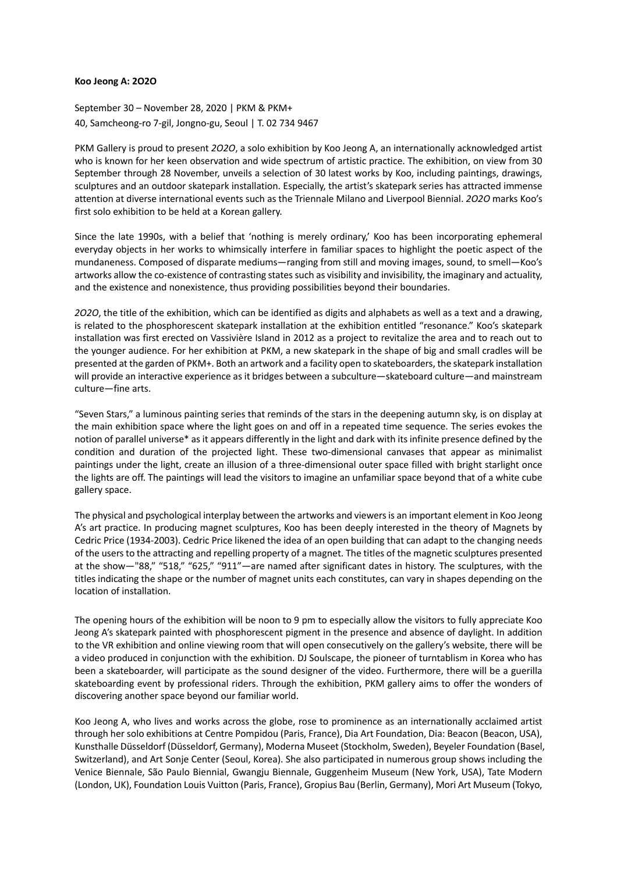## **Koo Jeong A: 2O2O**

September 30 – November 28, 2020 | PKM & PKM+ 40, Samcheong-ro 7-gil, Jongno-gu, Seoul | T. 02 734 9467

PKM Gallery is proud to present *2O2O*, a solo exhibition by Koo Jeong A, an internationally acknowledged artist who is known for her keen observation and wide spectrum of artistic practice. The exhibition, on view from 30 September through 28 November, unveils a selection of 30 latest works by Koo, including paintings, drawings, sculptures and an outdoor skatepark installation. Especially, the artist's skatepark series has attracted immense attention at diverse international events such as the Triennale Milano and Liverpool Biennial. *2O2O* marks Koo's first solo exhibition to be held at a Korean gallery.

Since the late 1990s, with a belief that 'nothing is merely ordinary,' Koo has been incorporating ephemeral everyday objects in her works to whimsically interfere in familiar spaces to highlight the poetic aspect of the mundaneness. Composed of disparate mediums—ranging from still and moving images, sound, to smell—Koo's artworks allow the co-existence of contrasting states such as visibility and invisibility, the imaginary and actuality, and the existence and nonexistence, thus providing possibilities beyond their boundaries.

*2O2O*, the title of the exhibition, which can be identified as digits and alphabets as well as a text and a drawing, is related to the phosphorescent skatepark installation at the exhibition entitled "resonance." Koo's skatepark installation was first erected on Vassivière Island in 2012 as a project to revitalize the area and to reach out to the younger audience. For her exhibition at PKM, a new skatepark in the shape of big and small cradles will be presented at the garden of PKM+. Both an artwork and a facility open to skateboarders, the skatepark installation will provide an interactive experience as it bridges between a subculture—skateboard culture—and mainstream culture—fine arts.

"Seven Stars," a luminous painting series that reminds of the stars in the deepening autumn sky, is on display at the main exhibition space where the light goes on and off in a repeated time sequence. The series evokes the notion of parallel universe\* as it appears differently in the light and dark with its infinite presence defined by the condition and duration of the projected light. These two-dimensional canvases that appear as minimalist paintings under the light, create an illusion of a three-dimensional outer space filled with bright starlight once the lights are off. The paintings will lead the visitors to imagine an unfamiliar space beyond that of a white cube gallery space.

The physical and psychological interplay between the artworks and viewers is an important element in Koo Jeong A's art practice. In producing magnet sculptures, Koo has been deeply interested in the theory of Magnets by Cedric Price (1934-2003). Cedric Price likened the idea of an open building that can adapt to the changing needs of the users to the attracting and repelling property of a magnet. The titles of the magnetic sculptures presented at the show—"88," "518," "625," "911"—are named after significant dates in history. The sculptures, with the titles indicating the shape or the number of magnet units each constitutes, can vary in shapes depending on the location of installation.

The opening hours of the exhibition will be noon to 9 pm to especially allow the visitors to fully appreciate Koo Jeong A's skatepark painted with phosphorescent pigment in the presence and absence of daylight. In addition to the VR exhibition and online viewing room that will open consecutively on the gallery's website, there will be a video produced in conjunction with the exhibition. DJ Soulscape, the pioneer of turntablism in Korea who has been a skateboarder, will participate as the sound designer of the video. Furthermore, there will be a guerilla skateboarding event by professional riders. Through the exhibition, PKM gallery aims to offer the wonders of discovering another space beyond our familiar world.

Koo Jeong A, who lives and works across the globe, rose to prominence as an internationally acclaimed artist through her solo exhibitions at Centre Pompidou (Paris, France), Dia Art Foundation, Dia: Beacon (Beacon, USA), Kunsthalle Düsseldorf (Düsseldorf, Germany), Moderna Museet (Stockholm, Sweden), Beyeler Foundation (Basel, Switzerland), and Art Sonje Center (Seoul, Korea). She also participated in numerous group shows including the Venice Biennale, São Paulo Biennial, Gwangju Biennale, Guggenheim Museum (New York, USA), Tate Modern (London, UK), Foundation Louis Vuitton (Paris, France), Gropius Bau (Berlin, Germany), Mori Art Museum (Tokyo,